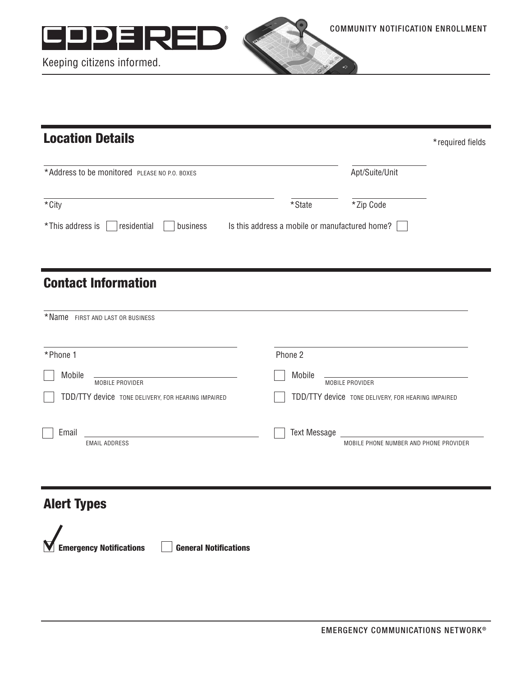



Keeping citizens informed.

| <b>Location Details</b>                                                                    |         |                                                                               | *required fields |
|--------------------------------------------------------------------------------------------|---------|-------------------------------------------------------------------------------|------------------|
| *Address to be monitored PLEASE NO P.O. BOXES                                              |         | Apt/Suite/Unit                                                                |                  |
| *City                                                                                      | *State  | *Zip Code                                                                     |                  |
| *This address is<br>residential<br>business Is this address a mobile or manufactured home? |         |                                                                               |                  |
|                                                                                            |         |                                                                               |                  |
| <b>Contact Information</b>                                                                 |         |                                                                               |                  |
| * Name FIRST AND LAST OR BUSINESS                                                          |         |                                                                               |                  |
| *Phone 1                                                                                   | Phone 2 |                                                                               |                  |
| Mobile<br>MOBILE PROVIDER                                                                  | Mobile  | MOBILE PROVIDER                                                               |                  |
| TDD/TTY device TONE DELIVERY, FOR HEARING IMPAIRED                                         |         | TDD/TTY device TONE DELIVERY, FOR HEARING IMPAIRED                            |                  |
| Email<br>the control of the control of the control of<br><b>EMAIL ADDRESS</b>              |         | Text Message <b>Startup Startup</b><br>MOBILE PHONE NUMBER AND PHONE PROVIDER |                  |
|                                                                                            |         |                                                                               |                  |

## Alert Types